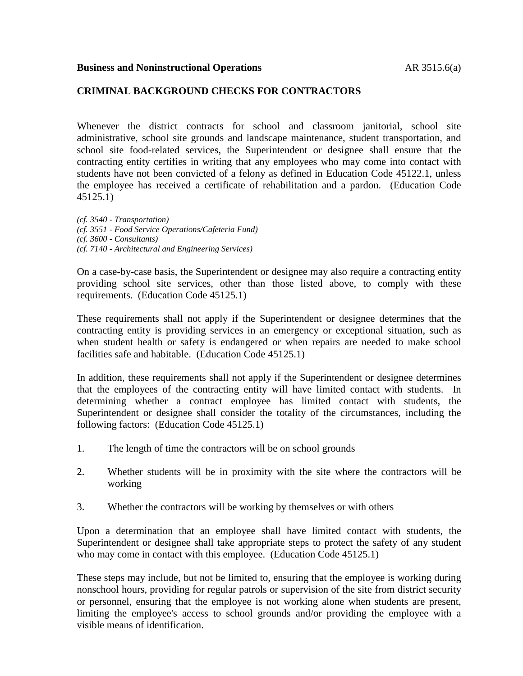## **CRIMINAL BACKGROUND CHECKS FOR CONTRACTORS**

Whenever the district contracts for school and classroom janitorial, school site administrative, school site grounds and landscape maintenance, student transportation, and school site food-related services, the Superintendent or designee shall ensure that the contracting entity certifies in writing that any employees who may come into contact with students have not been convicted of a felony as defined in Education Code 45122.1, unless the employee has received a certificate of rehabilitation and a pardon. (Education Code 45125.1)

*(cf. 3540 - Transportation) (cf. 3551 - Food Service Operations/Cafeteria Fund) (cf. 3600 - Consultants) (cf. 7140 - Architectural and Engineering Services)*

On a case-by-case basis, the Superintendent or designee may also require a contracting entity providing school site services, other than those listed above, to comply with these requirements. (Education Code 45125.1)

These requirements shall not apply if the Superintendent or designee determines that the contracting entity is providing services in an emergency or exceptional situation, such as when student health or safety is endangered or when repairs are needed to make school facilities safe and habitable. (Education Code 45125.1)

In addition, these requirements shall not apply if the Superintendent or designee determines that the employees of the contracting entity will have limited contact with students. In determining whether a contract employee has limited contact with students, the Superintendent or designee shall consider the totality of the circumstances, including the following factors: (Education Code 45125.1)

- 1. The length of time the contractors will be on school grounds
- 2. Whether students will be in proximity with the site where the contractors will be working
- 3. Whether the contractors will be working by themselves or with others

Upon a determination that an employee shall have limited contact with students, the Superintendent or designee shall take appropriate steps to protect the safety of any student who may come in contact with this employee. (Education Code 45125.1)

These steps may include, but not be limited to, ensuring that the employee is working during nonschool hours, providing for regular patrols or supervision of the site from district security or personnel, ensuring that the employee is not working alone when students are present, limiting the employee's access to school grounds and/or providing the employee with a visible means of identification.